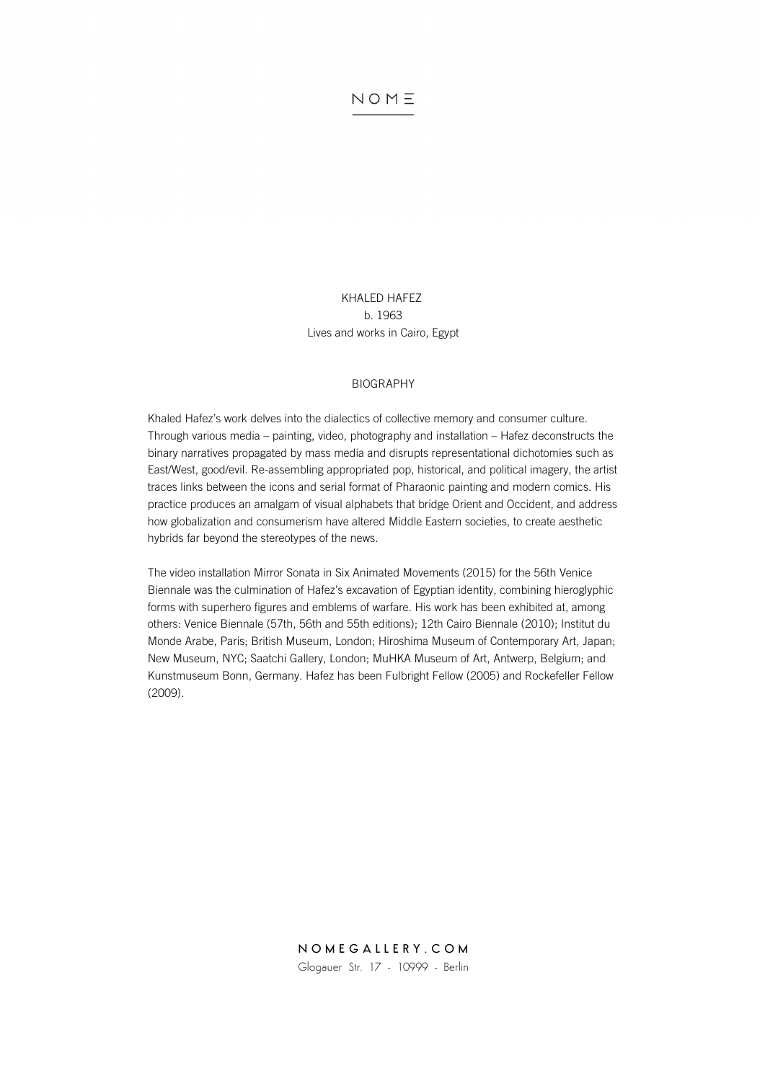# KHALED HAFEZ b. 1963 Lives and works in Cairo, Egypt

#### BIOGRAPHY

Khaled Hafez's work delves into the dialectics of collective memory and consumer culture. Through various media – painting, video, photography and installation – Hafez deconstructs the binary narratives propagated by mass media and disrupts representational dichotomies such as East/West, good/evil. Re-assembling appropriated pop, historical, and political imagery, the artist traces links between the icons and serial format of Pharaonic painting and modern comics. His practice produces an amalgam of visual alphabets that bridge Orient and Occident, and address how globalization and consumerism have altered Middle Eastern societies, to create aesthetic hybrids far beyond the stereotypes of the news.

The video installation Mirror Sonata in Six Animated Movements (2015) for the 56th Venice Biennale was the culmination of Hafez's excavation of Egyptian identity, combining hieroglyphic forms with superhero figures and emblems of warfare. His work has been exhibited at, among others: Venice Biennale (57th, 56th and 55th editions); 12th Cairo Biennale (2010); Institut du Monde Arabe, Paris; British Museum, London; Hiroshima Museum of Contemporary Art, Japan; New Museum, NYC; Saatchi Gallery, London; MuHKA Museum of Art, Antwerp, Belgium; and Kunstmuseum Bonn, Germany. Hafez has been Fulbright Fellow (2005) and Rockefeller Fellow (2009).

> NOMEGALLERY.COM Glogauer Str. 17 - 10999 - Berlin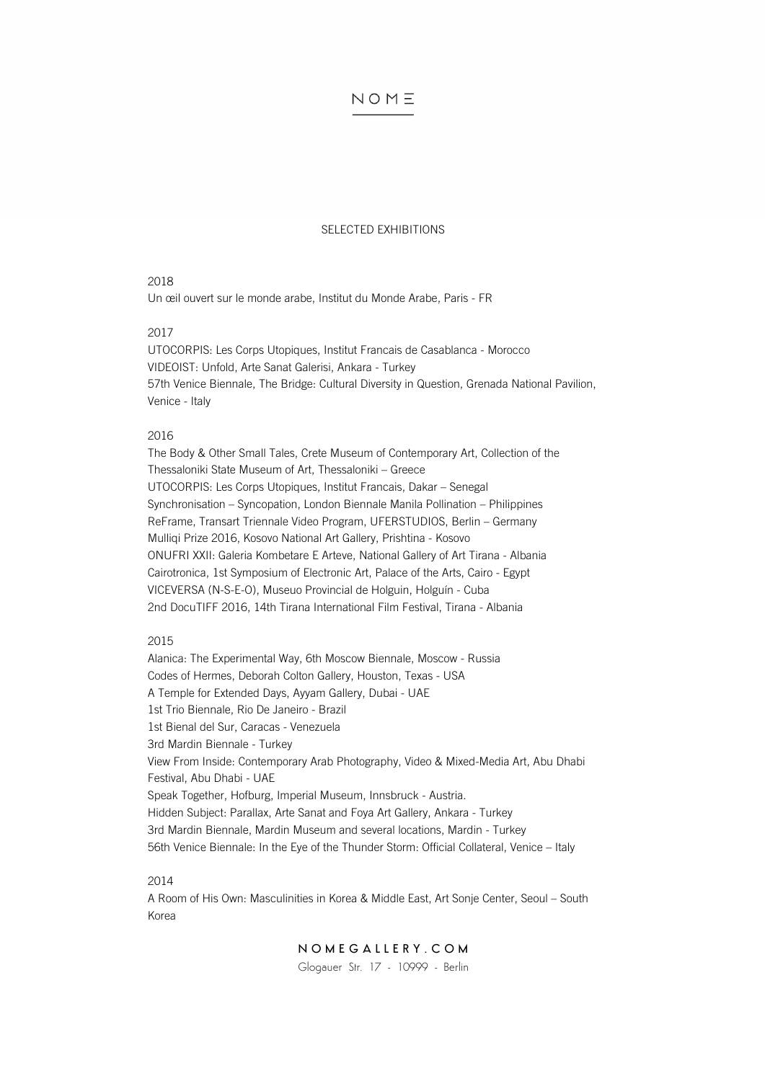#### SELECTED EXHIBITIONS

#### 2018

Un œil ouvert sur le monde arabe, Institut du Monde Arabe, Paris - FR

## 2017

UTOCORPIS: Les Corps Utopiques, Institut Francais de Casablanca - Morocco VIDEOIST: Unfold, Arte Sanat Galerisi, Ankara - Turkey 57th Venice Biennale, The Bridge: Cultural Diversity in Question, Grenada National Pavilion, Venice - Italy

#### 2016

The Body & Other Small Tales, Crete Museum of Contemporary Art, Collection of the Thessaloniki State Museum of Art, Thessaloniki – Greece UTOCORPIS: Les Corps Utopiques, Institut Francais, Dakar – Senegal Synchronisation – Syncopation, London Biennale Manila Pollination – Philippines ReFrame, Transart Triennale Video Program, UFERSTUDIOS, Berlin – Germany Mulliqi Prize 2016, Kosovo National Art Gallery, Prishtina - Kosovo ONUFRI XXII: Galeria Kombetare E Arteve, National Gallery of Art Tirana - Albania Cairotronica, 1st Symposium of Electronic Art, Palace of the Arts, Cairo - Egypt VICEVERSA (N-S-E-O), Museuo Provincial de Holguin, Holguín - Cuba 2nd DocuTIFF 2016, 14th Tirana International Film Festival, Tirana - Albania

# 2015

Alanica: The Experimental Way, 6th Moscow Biennale, Moscow - Russia Codes of Hermes, Deborah Colton Gallery, Houston, Texas - USA A Temple for Extended Days, Ayyam Gallery, Dubai - UAE 1st Trio Biennale, Rio De Janeiro - Brazil 1st Bienal del Sur, Caracas - Venezuela 3rd Mardin Biennale - Turkey View From Inside: Contemporary Arab Photography, Video & Mixed-Media Art, Abu Dhabi Festival, Abu Dhabi - UAE Speak Together, Hofburg, Imperial Museum, Innsbruck - Austria. Hidden Subject: Parallax, Arte Sanat and Foya Art Gallery, Ankara - Turkey 3rd Mardin Biennale, Mardin Museum and several locations, Mardin - Turkey 56th Venice Biennale: In the Eye of the Thunder Storm: Official Collateral, Venice – Italy

## 2014

A Room of His Own: Masculinities in Korea & Middle East, Art Sonje Center, Seoul – South Korea

# NOMEGALLERY.COM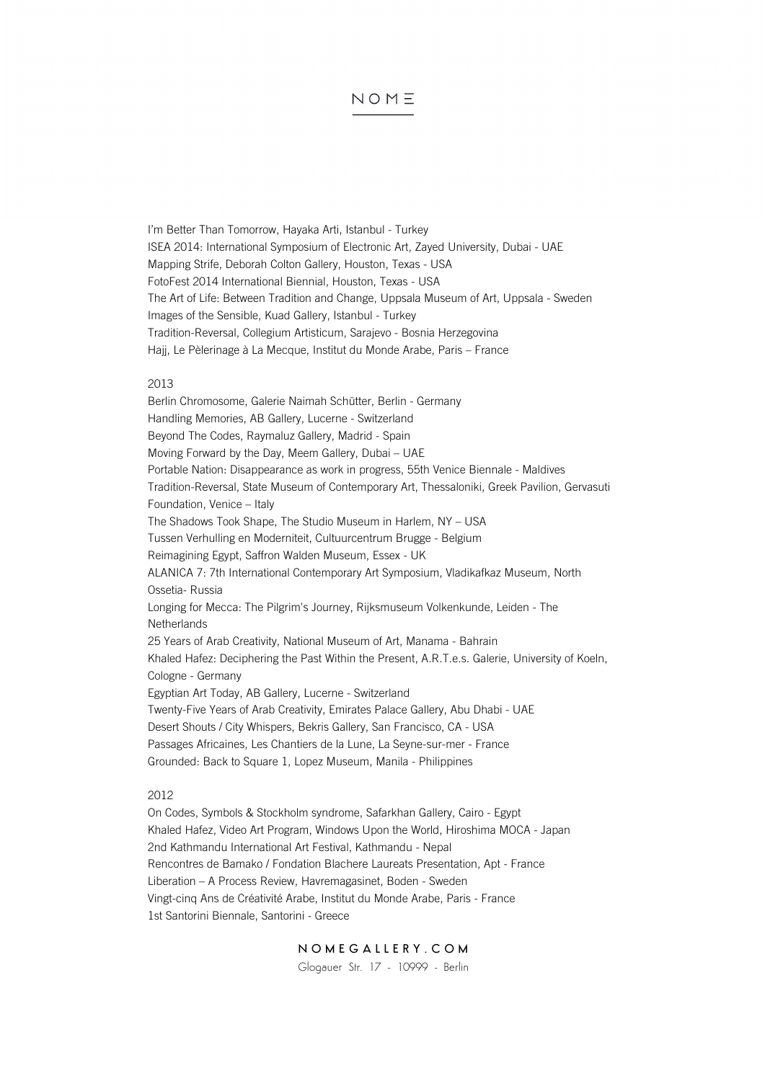I'm Better Than Tomorrow, Hayaka Arti, Istanbul - Turkey ISEA 2014: International Symposium of Electronic Art, Zayed University, Dubai - UAE Mapping Strife, Deborah Colton Gallery, Houston, Texas - USA FotoFest 2014 International Biennial, Houston, Texas - USA The Art of Life: Between Tradition and Change, Uppsala Museum of Art, Uppsala - Sweden Images of the Sensible, Kuad Gallery, Istanbul - Turkey Tradition-Reversal, Collegium Artisticum, Sarajevo - Bosnia Herzegovina Hajj, Le Pèlerinage à La Mecque, Institut du Monde Arabe, Paris – France

#### 2013

Berlin Chromosome, Galerie Naimah Schütter, Berlin - Germany Handling Memories, AB Gallery, Lucerne - Switzerland Beyond The Codes, Raymaluz Gallery, Madrid - Spain Moving Forward by the Day, Meem Gallery, Dubai – UAE Portable Nation: Disappearance as work in progress, 55th Venice Biennale - Maldives Tradition-Reversal, State Museum of Contemporary Art, Thessaloniki, Greek Pavilion, Gervasuti Foundation, Venice – Italy The Shadows Took Shape, The Studio Museum in Harlem, NY – USA Tussen Verhulling en Moderniteit, Cultuurcentrum Brugge - Belgium Reimagining Egypt, Saffron Walden Museum, Essex - UK ALANICA 7: 7th International Contemporary Art Symposium, Vladikafkaz Museum, North Ossetia- Russia Longing for Mecca: The Pilgrim's Journey, Rijksmuseum Volkenkunde, Leiden - The **Netherlands** 25 Years of Arab Creativity, National Museum of Art, Manama - Bahrain Khaled Hafez: Deciphering the Past Within the Present, A.R.T.e.s. Galerie, University of Koeln, Cologne - Germany Egyptian Art Today, AB Gallery, Lucerne - Switzerland Twenty-Five Years of Arab Creativity, Emirates Palace Gallery, Abu Dhabi - UAE Desert Shouts / City Whispers, Bekris Gallery, San Francisco, CA - USA Passages Africaines, Les Chantiers de la Lune, La Seyne-sur-mer - France Grounded: Back to Square 1, Lopez Museum, Manila - Philippines

## 2012

On Codes, Symbols & Stockholm syndrome, Safarkhan Gallery, Cairo - Egypt Khaled Hafez, Video Art Program, Windows Upon the World, Hiroshima MOCA - Japan 2nd Kathmandu International Art Festival, Kathmandu - Nepal Rencontres de Bamako / Fondation Blachere Laureats Presentation, Apt - France Liberation – A Process Review, Havremagasinet, Boden - Sweden Vingt-cinq Ans de Créativité Arabe, Institut du Monde Arabe, Paris - France 1st Santorini Biennale, Santorini - Greece

# NOMEGALLERY.COM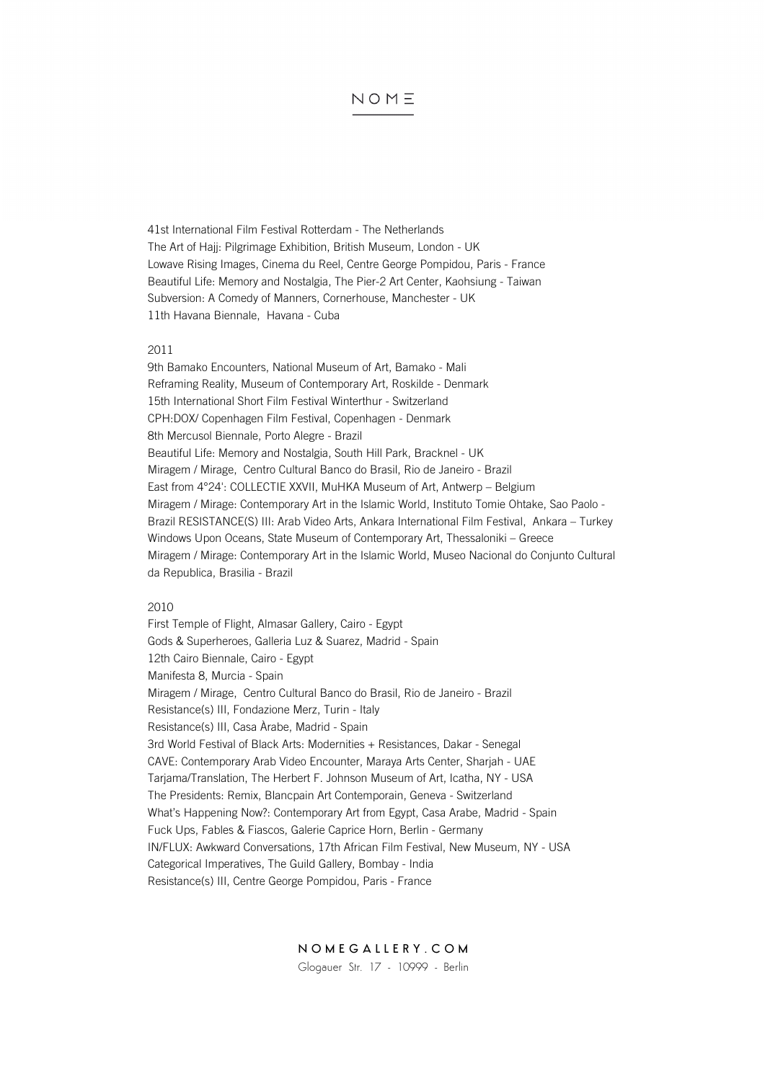41st International Film Festival Rotterdam - The Netherlands The Art of Hajj: Pilgrimage Exhibition, British Museum, London - UK Lowave Rising Images, Cinema du Reel, Centre George Pompidou, Paris - France Beautiful Life: Memory and Nostalgia, The Pier-2 Art Center, Kaohsiung - Taiwan Subversion: A Comedy of Manners, Cornerhouse, Manchester - UK 11th Havana Biennale, Havana - Cuba

#### 2011

9th Bamako Encounters, National Museum of Art, Bamako - Mali Reframing Reality, Museum of Contemporary Art, Roskilde - Denmark 15th International Short Film Festival Winterthur - Switzerland CPH:DOX/ Copenhagen Film Festival, Copenhagen - Denmark 8th Mercusol Biennale, Porto Alegre - Brazil Beautiful Life: Memory and Nostalgia, South Hill Park, Bracknel - UK Miragem / Mirage, Centro Cultural Banco do Brasil, Rio de Janeiro - Brazil East from 4°24': COLLECTIE XXVII, MuHKA Museum of Art, Antwerp – Belgium Miragem / Mirage: Contemporary Art in the Islamic World, Instituto Tomie Ohtake, Sao Paolo - Brazil RESISTANCE(S) III: Arab Video Arts, Ankara International Film Festival, Ankara – Turkey Windows Upon Oceans, State Museum of Contemporary Art, Thessaloniki – Greece Miragem / Mirage: Contemporary Art in the Islamic World, Museo Nacional do Conjunto Cultural da Republica, Brasilia - Brazil

#### 2010

First Temple of Flight, Almasar Gallery, Cairo - Egypt Gods & Superheroes, Galleria Luz & Suarez, Madrid - Spain 12th Cairo Biennale, Cairo - Egypt Manifesta 8, Murcia - Spain Miragem / Mirage, Centro Cultural Banco do Brasil, Rio de Janeiro - Brazil Resistance(s) III, Fondazione Merz, Turin - Italy Resistance(s) III, Casa Àrabe, Madrid - Spain 3rd World Festival of Black Arts: Modernities + Resistances, Dakar - Senegal CAVE: Contemporary Arab Video Encounter, Maraya Arts Center, Sharjah - UAE Tarjama/Translation, The Herbert F. Johnson Museum of Art, Icatha, NY - USA The Presidents: Remix, Blancpain Art Contemporain, Geneva - Switzerland What's Happening Now?: Contemporary Art from Egypt, Casa Arabe, Madrid - Spain Fuck Ups, Fables & Fiascos, Galerie Caprice Horn, Berlin - Germany IN/FLUX: Awkward Conversations, 17th African Film Festival, New Museum, NY - USA Categorical Imperatives, The Guild Gallery, Bombay - India Resistance(s) III, Centre George Pompidou, Paris - France

NOMEGALLERY.COM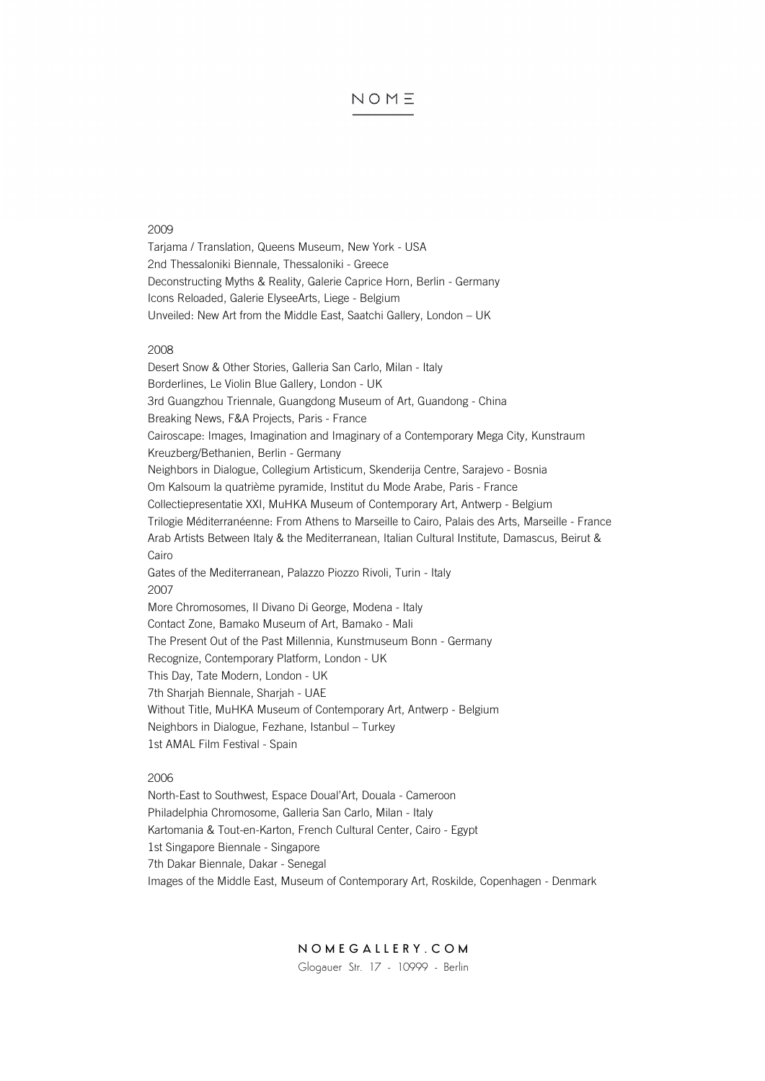#### 2009

Tarjama / Translation, Queens Museum, New York - USA 2nd Thessaloniki Biennale, Thessaloniki - Greece Deconstructing Myths & Reality, Galerie Caprice Horn, Berlin - Germany Icons Reloaded, Galerie ElyseeArts, Liege - Belgium Unveiled: New Art from the Middle East, Saatchi Gallery, London – UK

#### 2008

Desert Snow & Other Stories, Galleria San Carlo, Milan - Italy Borderlines, Le Violin Blue Gallery, London - UK 3rd Guangzhou Triennale, Guangdong Museum of Art, Guandong - China Breaking News, F&A Projects, Paris - France Cairoscape: Images, Imagination and Imaginary of a Contemporary Mega City, Kunstraum Kreuzberg/Bethanien, Berlin - Germany Neighbors in Dialogue, Collegium Artisticum, Skenderija Centre, Sarajevo - Bosnia Om Kalsoum la quatrième pyramide, Institut du Mode Arabe, Paris - France Collectiepresentatie XXI, MuHKA Museum of Contemporary Art, Antwerp - Belgium Trilogie Méditerranéenne: From Athens to Marseille to Cairo, Palais des Arts, Marseille - France Arab Artists Between Italy & the Mediterranean, Italian Cultural Institute, Damascus, Beirut & Cairo Gates of the Mediterranean, Palazzo Piozzo Rivoli, Turin - Italy 2007 More Chromosomes, Il Divano Di George, Modena - Italy Contact Zone, Bamako Museum of Art, Bamako - Mali The Present Out of the Past Millennia, Kunstmuseum Bonn - Germany Recognize, Contemporary Platform, London - UK This Day, Tate Modern, London - UK 7th Sharjah Biennale, Sharjah - UAE Without Title, MuHKA Museum of Contemporary Art, Antwerp - Belgium Neighbors in Dialogue, Fezhane, Istanbul – Turkey 1st AMAL Film Festival - Spain

## 2006

North-East to Southwest, Espace Doual'Art, Douala - Cameroon Philadelphia Chromosome, Galleria San Carlo, Milan - Italy Kartomania & Tout-en-Karton, French Cultural Center, Cairo - Egypt 1st Singapore Biennale - Singapore 7th Dakar Biennale, Dakar - Senegal Images of the Middle East, Museum of Contemporary Art, Roskilde, Copenhagen - Denmark

# NOMEGALLERY.COM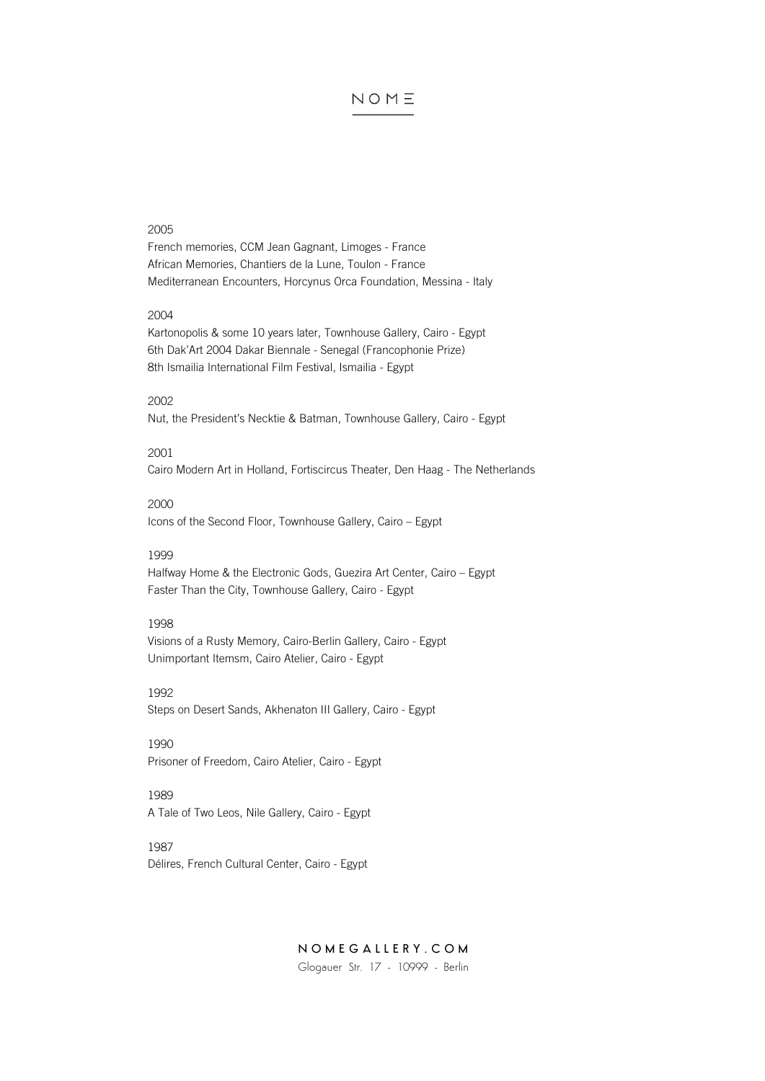#### 2005

French memories, CCM Jean Gagnant, Limoges - France African Memories, Chantiers de la Lune, Toulon - France Mediterranean Encounters, Horcynus Orca Foundation, Messina - Italy

## 2004

Kartonopolis & some 10 years later, Townhouse Gallery, Cairo - Egypt 6th Dak'Art 2004 Dakar Biennale - Senegal (Francophonie Prize) 8th Ismailia International Film Festival, Ismailia - Egypt

## 2002

Nut, the President's Necktie & Batman, Townhouse Gallery, Cairo - Egypt

#### 2001

Cairo Modern Art in Holland, Fortiscircus Theater, Den Haag - The Netherlands

## 2000

Icons of the Second Floor, Townhouse Gallery, Cairo – Egypt

# 1999

Halfway Home & the Electronic Gods, Guezira Art Center, Cairo – Egypt Faster Than the City, Townhouse Gallery, Cairo - Egypt

# 1998

Visions of a Rusty Memory, Cairo-Berlin Gallery, Cairo - Egypt Unimportant Itemsm, Cairo Atelier, Cairo - Egypt

#### 1992

Steps on Desert Sands, Akhenaton III Gallery, Cairo - Egypt

## 1990

Prisoner of Freedom, Cairo Atelier, Cairo - Egypt

# 1989

A Tale of Two Leos, Nile Gallery, Cairo - Egypt

## 1987

Délires, French Cultural Center, Cairo - Egypt

# NOMEGALLERY.COM